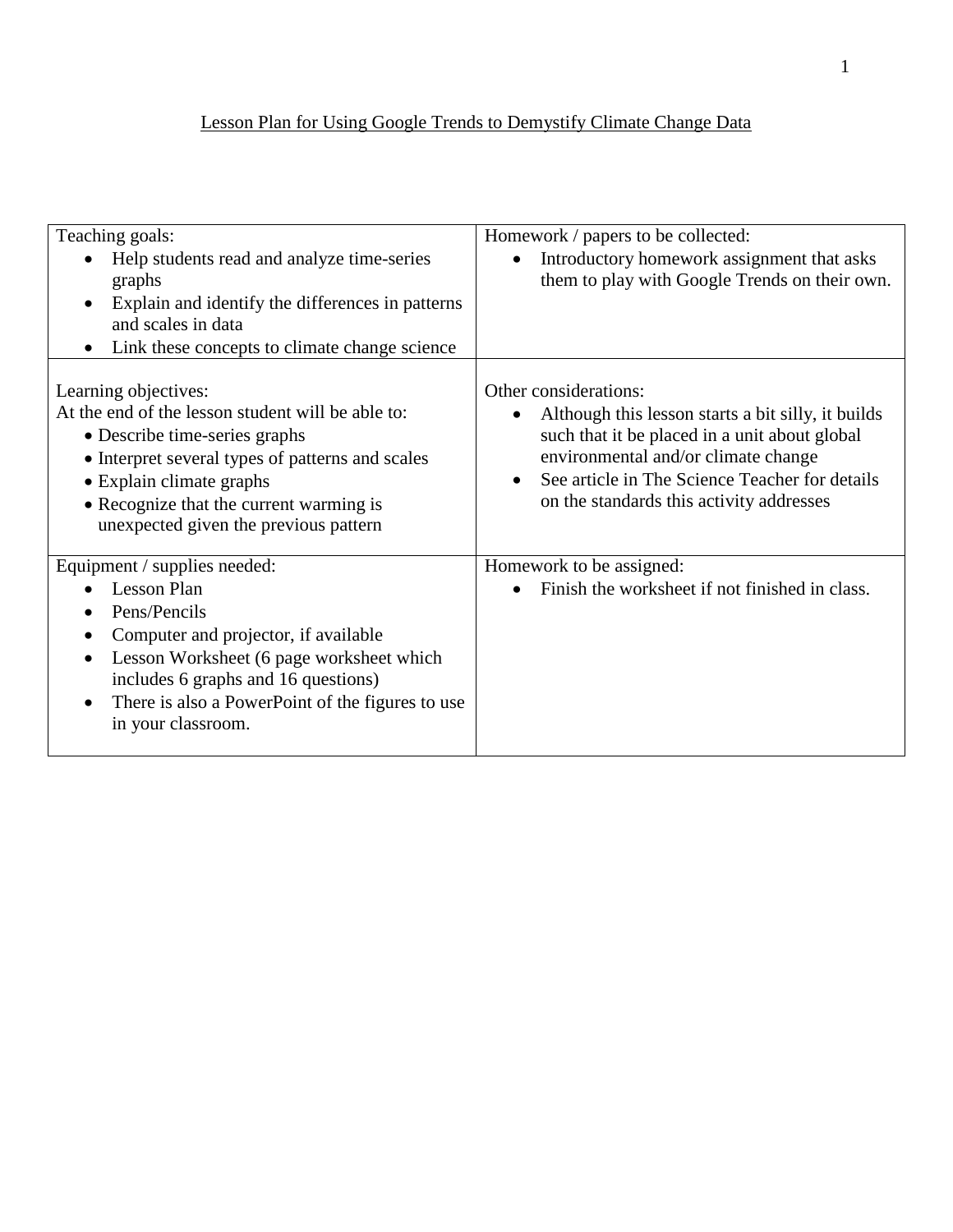## Lesson Plan for Using Google Trends to Demystify Climate Change Data

| Teaching goals:                                                                                                                                                                                                                                                                                        | Homework / papers to be collected:                                                                                                                                                                                                                                |
|--------------------------------------------------------------------------------------------------------------------------------------------------------------------------------------------------------------------------------------------------------------------------------------------------------|-------------------------------------------------------------------------------------------------------------------------------------------------------------------------------------------------------------------------------------------------------------------|
| Help students read and analyze time-series<br>graphs<br>Explain and identify the differences in patterns<br>$\bullet$<br>and scales in data<br>Link these concepts to climate change science<br>٠                                                                                                      | Introductory homework assignment that asks<br>them to play with Google Trends on their own.                                                                                                                                                                       |
| Learning objectives:<br>At the end of the lesson student will be able to:<br>• Describe time-series graphs<br>• Interpret several types of patterns and scales<br>• Explain climate graphs<br>• Recognize that the current warming is<br>unexpected given the previous pattern                         | Other considerations:<br>Although this lesson starts a bit silly, it builds<br>such that it be placed in a unit about global<br>environmental and/or climate change<br>See article in The Science Teacher for details<br>on the standards this activity addresses |
| Equipment / supplies needed:<br><b>Lesson Plan</b><br>Pens/Pencils<br>Computer and projector, if available<br>٠<br>Lesson Worksheet (6 page worksheet which<br>$\bullet$<br>includes 6 graphs and 16 questions)<br>There is also a PowerPoint of the figures to use<br>$\bullet$<br>in your classroom. | Homework to be assigned:<br>Finish the worksheet if not finished in class.                                                                                                                                                                                        |